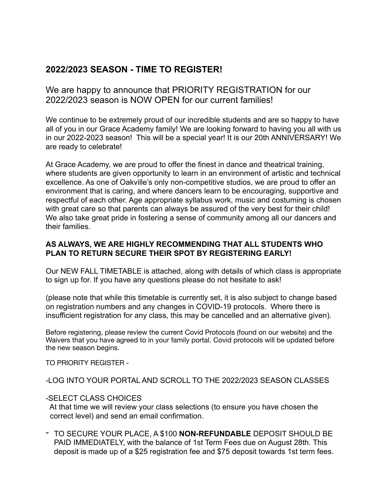# **2022/2023 SEASON - TIME TO REGISTER!**

We are happy to announce that PRIORITY REGISTRATION for our 2022/2023 season is NOW OPEN for our current families!

We continue to be extremely proud of our incredible students and are so happy to have all of you in our Grace Academy family! We are looking forward to having you all with us in our 2022-2023 season! This will be a special year! It is our 20th ANNIVERSARY! We are ready to celebrate!

At Grace Academy, we are proud to offer the finest in dance and theatrical training, where students are given opportunity to learn in an environment of artistic and technical excellence. As one of Oakville's only non-competitive studios, we are proud to offer an environment that is caring, and where dancers learn to be encouraging, supportive and respectful of each other. Age appropriate syllabus work, music and costuming is chosen with great care so that parents can always be assured of the very best for their child! We also take great pride in fostering a sense of community among all our dancers and their families.

## **AS ALWAYS, WE ARE HIGHLY RECOMMENDING THAT ALL STUDENTS WHO PLAN TO RETURN SECURE THEIR SPOT BY REGISTERING EARLY!**

Our NEW FALL TIMETABLE is attached, along with details of which class is appropriate to sign up for. If you have any questions please do not hesitate to ask!

(please note that while this timetable is currently set, it is also subject to change based on registration numbers and any changes in COVID-19 protocols. Where there is insufficient registration for any class, this may be cancelled and an alternative given).

Before registering, please review the current Covid Protocols (found on our website) and the Waivers that you have agreed to in your family portal. Covid protocols will be updated before the new season begins.

TO PRIORITY REGISTER -

-LOG INTO YOUR PORTAL AND SCROLL TO THE 2022/2023 SEASON CLASSES

## -SELECT CLASS CHOICES

 At that time we will review your class selections (to ensure you have chosen the correct level) and send an email confirmation.

- TO SECURE YOUR PLACE, A \$100 **NON-REFUNDABLE** DEPOSIT SHOULD BE PAID IMMEDIATELY, with the balance of 1st Term Fees due on August 28th. This deposit is made up of a \$25 registration fee and \$75 deposit towards 1st term fees.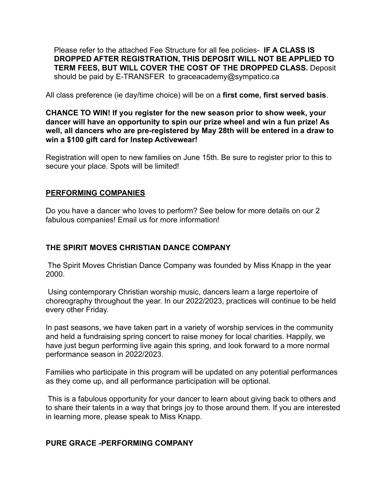Please refer to the attached Fee Structure for all fee policies- **IF A CLASS IS DROPPED AFTER REGISTRATION, THIS DEPOSIT WILL NOT BE APPLIED TO TERM FEES, BUT WILL COVER THE COST OF THE DROPPED CLASS.** Deposit should be paid by E-TRANSFER to graceacademy@sympatico.ca

All class preference (ie day/time choice) will be on a **first come, first served basis**.

**CHANCE TO WIN! If you register for the new season prior to show week, your dancer will have an opportunity to spin our prize wheel and win a fun prize! As well, all dancers who are pre-registered by May 28th will be entered in a draw to win a \$100 gift card for Instep Activewear!** 

Registration will open to new families on June 15th. Be sure to register prior to this to secure your place. Spots will be limited!

## **PERFORMING COMPANIES**

Do you have a dancer who loves to perform? See below for more details on our 2 fabulous companies! Email us for more information!

## **THE SPIRIT MOVES CHRISTIAN DANCE COMPANY**

 The Spirit Moves Christian Dance Company was founded by Miss Knapp in the year 2000.

 Using contemporary Christian worship music, dancers learn a large repertoire of choreography throughout the year. In our 2022/2023, practices will continue to be held every other Friday.

In past seasons, we have taken part in a variety of worship services in the community and held a fundraising spring concert to raise money for local charities. Happily, we have just begun performing live again this spring, and look forward to a more normal performance season in 2022/2023.

Families who participate in this program will be updated on any potential performances as they come up, and all performance participation will be optional.

 This is a fabulous opportunity for your dancer to learn about giving back to others and to share their talents in a way that brings joy to those around them. If you are interested in learning more, please speak to Miss Knapp.

## **PURE GRACE -PERFORMING COMPANY**